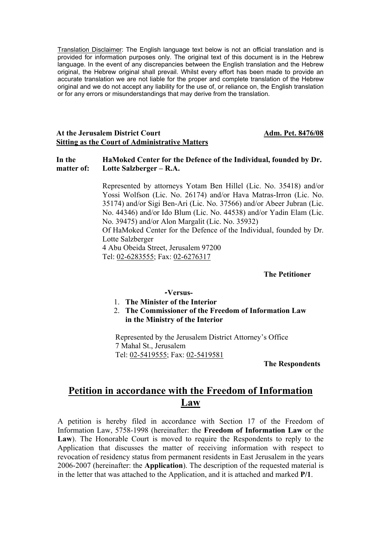Translation Disclaimer: The English language text below is not an official translation and is provided for information purposes only. The original text of this document is in the Hebrew language. In the event of any discrepancies between the English translation and the Hebrew original, the Hebrew original shall prevail. Whilst every effort has been made to provide an accurate translation we are not liable for the proper and complete translation of the Hebrew original and we do not accept any liability for the use of, or reliance on, the English translation or for any errors or misunderstandings that may derive from the translation.

#### At the Jerusalem District Court **Adm. Pet. 8476/08 Sitting as the Court of Administrative Matters**

#### **HaMoked Center for the Defence of the Individual, founded by Dr. Lotte Salzberger – R.A. In the matter of:**

Represented by attorneys Yotam Ben Hillel (Lic. No. 35418) and/or Yossi Wolfson (Lic. No. 26174) and/or Hava Matras-Irron (Lic. No. 35174) and/or Sigi Ben-Ari (Lic. No. 37566) and/or Abeer Jubran (Lic. No. 44346) and/or Ido Blum (Lic. No. 44538) and/or Yadin Elam (Lic. No. 39475) and/or Alon Margalit (Lic. No. 35932) Of HaMoked Center for the Defence of the Individual, founded by Dr. Lotte Salzberger 4 Abu Obeida Street, Jerusalem 97200 Tel: 02-6283555; Fax: 02-6276317

#### **The Petitioner**

#### **-Versus-**

- 1. **The Minister of the Interior**
- 2. **The Commissioner of the Freedom of Information Law in the Ministry of the Interior**

Represented by the Jerusalem District Attorney's Office 7 Mahal St., Jerusalem Tel: 02-5419555; Fax: 02-5419581

**The Respondents** 

# **Petition in accordance with the Freedom of Information Law**

A petition is hereby filed in accordance with Section 17 of the Freedom of Information Law, 5758-1998 (hereinafter: the **Freedom of Information Law** or the **Law**). The Honorable Court is moved to require the Respondents to reply to the Application that discusses the matter of receiving information with respect to revocation of residency status from permanent residents in East Jerusalem in the years 2006-2007 (hereinafter: the **Application**). The description of the requested material is in the letter that was attached to the Application, and it is attached and marked **P/1**.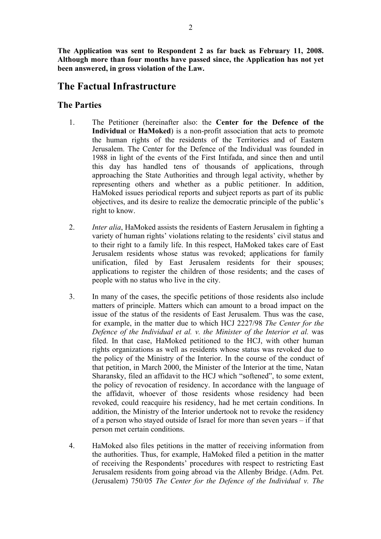**The Application was sent to Respondent 2 as far back as February 11, 2008. Although more than four months have passed since, the Application has not yet been answered, in gross violation of the Law.** 

# **The Factual Infrastructure**

## **The Parties**

- 1. The Petitioner (hereinafter also: the **Center for the Defence of the Individual** or **HaMoked**) is a non-profit association that acts to promote the human rights of the residents of the Territories and of Eastern Jerusalem. The Center for the Defence of the Individual was founded in 1988 in light of the events of the First Intifada, and since then and until this day has handled tens of thousands of applications, through approaching the State Authorities and through legal activity, whether by representing others and whether as a public petitioner. In addition, HaMoked issues periodical reports and subject reports as part of its public objectives, and its desire to realize the democratic principle of the public's right to know.
- 2. *Inter alia*, HaMoked assists the residents of Eastern Jerusalem in fighting a variety of human rights' violations relating to the residents' civil status and to their right to a family life. In this respect, HaMoked takes care of East Jerusalem residents whose status was revoked; applications for family unification, filed by East Jerusalem residents for their spouses; applications to register the children of those residents; and the cases of people with no status who live in the city.
- 3. In many of the cases, the specific petitions of those residents also include matters of principle. Matters which can amount to a broad impact on the issue of the status of the residents of East Jerusalem. Thus was the case, for example, in the matter due to which HCJ 2227/98 *The Center for the Defence of the Individual et al. v. the Minister of the Interior et al.* was filed. In that case, HaMoked petitioned to the HCJ, with other human rights organizations as well as residents whose status was revoked due to the policy of the Ministry of the Interior. In the course of the conduct of that petition, in March 2000, the Minister of the Interior at the time, Natan Sharansky, filed an affidavit to the HCJ which "softened", to some extent, the policy of revocation of residency. In accordance with the language of the affidavit, whoever of those residents whose residency had been revoked, could reacquire his residency, had he met certain conditions. In addition, the Ministry of the Interior undertook not to revoke the residency of a person who stayed outside of Israel for more than seven years – if that person met certain conditions.
- 4. HaMoked also files petitions in the matter of receiving information from the authorities. Thus, for example, HaMoked filed a petition in the matter of receiving the Respondents' procedures with respect to restricting East Jerusalem residents from going abroad via the Allenby Bridge. (Adm. Pet. (Jerusalem) 750/05 *The Center for the Defence of the Individual v. The*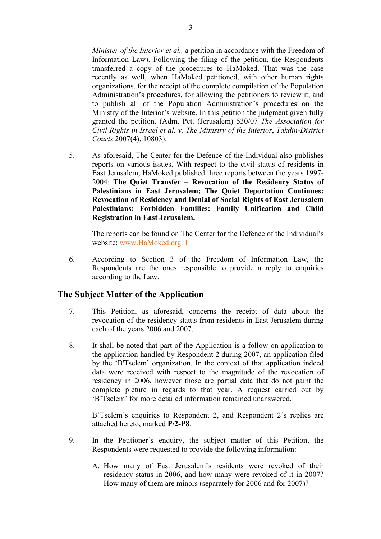*Minister of the Interior et al., a petition in accordance with the Freedom of* Information Law). Following the filing of the petition, the Respondents transferred a copy of the procedures to HaMoked. That was the case recently as well, when HaMoked petitioned, with other human rights organizations, for the receipt of the complete compilation of the Population Administration's procedures, for allowing the petitioners to review it, and to publish all of the Population Administration's procedures on the Ministry of the Interior's website. In this petition the judgment given fully granted the petition. (Adm. Pet. (Jerusalem) 530/07 *The Association for Civil Rights in Israel et al. v. The Ministry of the Interior*, *Takdin-District Courts* 2007(4), 10803).

5. As aforesaid, The Center for the Defence of the Individual also publishes reports on various issues. With respect to the civil status of residents in East Jerusalem, HaMoked published three reports between the years 1997- 2004: **The Quiet Transfer – Revocation of the Residency Status of Palestinians in East Jerusalem; The Quiet Deportation Continues: Revocation of Residency and Denial of Social Rights of East Jerusalem Palestinians; Forbidden Families: Family Unification and Child Registration in East Jerusalem.**

The reports can be found on The Center for the Defence of the Individual's website: www.HaMoked.org.il

6. According to Section 3 of the Freedom of Information Law, the Respondents are the ones responsible to provide a reply to enquiries according to the Law.

## **The Subject Matter of the Application**

- 7. This Petition, as aforesaid, concerns the receipt of data about the revocation of the residency status from residents in East Jerusalem during each of the years 2006 and 2007.
- 8. It shall be noted that part of the Application is a follow-on-application to the application handled by Respondent 2 during 2007, an application filed by the 'B'Tselem' organization. In the context of that application indeed data were received with respect to the magnitude of the revocation of residency in 2006, however those are partial data that do not paint the complete picture in regards to that year. A request carried out by 'B'Tselem' for more detailed information remained unanswered.

B'Tselem's enquiries to Respondent 2, and Respondent 2's replies are attached hereto, marked **P/2-P8**.

- 9. In the Petitioner's enquiry, the subject matter of this Petition, the Respondents were requested to provide the following information:
	- A. How many of East Jerusalem's residents were revoked of their residency status in 2006, and how many were revoked of it in 2007? How many of them are minors (separately for 2006 and for 2007)?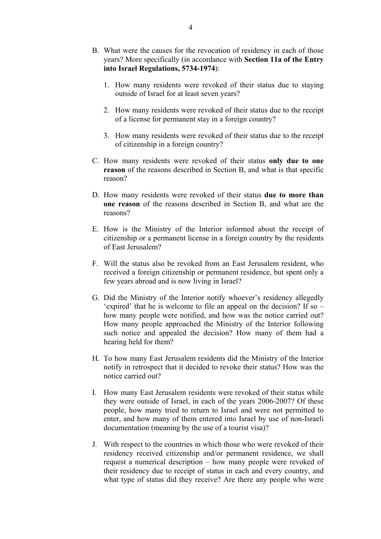- B. What were the causes for the revocation of residency in each of those years? More specifically (in accordance with **Section 11a of the Entry into Israel Regulations, 5734-1974**):
	- 1. How many residents were revoked of their status due to staying outside of Israel for at least seven years?
	- 2. How many residents were revoked of their status due to the receipt of a license for permanent stay in a foreign country?
	- 3. How many residents were revoked of their status due to the receipt of citizenship in a foreign country?
- C. How many residents were revoked of their status **only due to one reason** of the reasons described in Section B, and what is that specific reason?
- D. How many residents were revoked of their status **due to more than one reason** of the reasons described in Section B, and what are the reasons?
- E. How is the Ministry of the Interior informed about the receipt of citizenship or a permanent license in a foreign country by the residents of East Jerusalem?
- F. Will the status also be revoked from an East Jerusalem resident, who received a foreign citizenship or permanent residence, but spent only a few years abroad and is now living in Israel?
- G. Did the Ministry of the Interior notify whoever's residency allegedly 'expired' that he is welcome to file an appeal on the decision? If so – how many people were notified, and how was the notice carried out? How many people approached the Ministry of the Interior following such notice and appealed the decision? How many of them had a hearing held for them?
- H. To how many East Jerusalem residents did the Ministry of the Interior notify in retrospect that it decided to revoke their status? How was the notice carried out?
- I. How many East Jerusalem residents were revoked of their status while they were outside of Israel, in each of the years 2006-2007? Of these people, how many tried to return to Israel and were not permitted to enter, and how many of them entered into Israel by use of non-Israeli documentation (meaning by the use of a tourist visa)?
- J. With respect to the countries in which those who were revoked of their residency received citizenship and/or permanent residence, we shall request a numerical description – how many people were revoked of their residency due to receipt of status in each and every country, and what type of status did they receive? Are there any people who were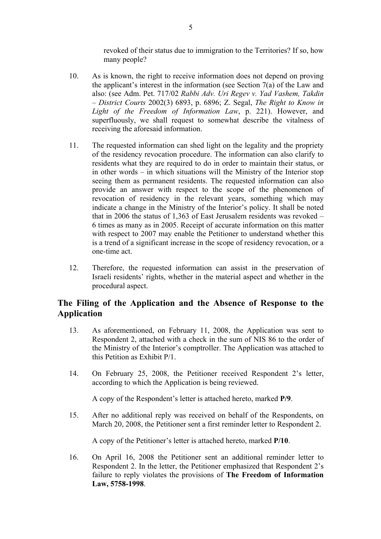revoked of their status due to immigration to the Territories? If so, how many people?

- 10. As is known, the right to receive information does not depend on proving the applicant's interest in the information (see Section 7(a) of the Law and also: (see Adm. Pet. 717/02 *Rabbi Adv. Uri Regev v. Yad Vashem, Takdin – District Courts* 2002(3) 6893, p. 6896; Z. Segal, *The Right to Know in Light of the Freedom of Information Law*, p. 221). However, and superfluously, we shall request to somewhat describe the vitalness of receiving the aforesaid information.
- 11. The requested information can shed light on the legality and the propriety of the residency revocation procedure. The information can also clarify to residents what they are required to do in order to maintain their status, or in other words – in which situations will the Ministry of the Interior stop seeing them as permanent residents. The requested information can also provide an answer with respect to the scope of the phenomenon of revocation of residency in the relevant years, something which may indicate a change in the Ministry of the Interior's policy. It shall be noted that in 2006 the status of 1,363 of East Jerusalem residents was revoked – 6 times as many as in 2005. Receipt of accurate information on this matter with respect to 2007 may enable the Petitioner to understand whether this is a trend of a significant increase in the scope of residency revocation, or a one-time act.
- 12. Therefore, the requested information can assist in the preservation of Israeli residents' rights, whether in the material aspect and whether in the procedural aspect.

# **The Filing of the Application and the Absence of Response to the Application**

- 13. As aforementioned, on February 11, 2008, the Application was sent to Respondent 2, attached with a check in the sum of NIS 86 to the order of the Ministry of the Interior's comptroller. The Application was attached to this Petition as Exhibit P/1.
- 14. On February 25, 2008, the Petitioner received Respondent 2's letter, according to which the Application is being reviewed.

A copy of the Respondent's letter is attached hereto, marked **P/9**.

15. After no additional reply was received on behalf of the Respondents, on March 20, 2008, the Petitioner sent a first reminder letter to Respondent 2.

A copy of the Petitioner's letter is attached hereto, marked **P/10**.

16. On April 16, 2008 the Petitioner sent an additional reminder letter to Respondent 2. In the letter, the Petitioner emphasized that Respondent 2's failure to reply violates the provisions of **The Freedom of Information Law, 5758-1998**.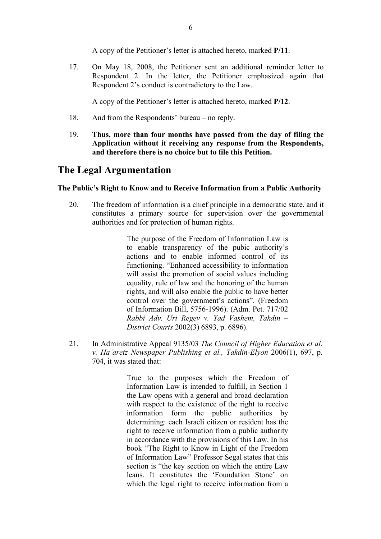A copy of the Petitioner's letter is attached hereto, marked **P/11**.

17. On May 18, 2008, the Petitioner sent an additional reminder letter to Respondent 2. In the letter, the Petitioner emphasized again that Respondent 2's conduct is contradictory to the Law.

A copy of the Petitioner's letter is attached hereto, marked **P/12**.

- 18. And from the Respondents' bureau no reply.
- 19. **Thus, more than four months have passed from the day of filing the Application without it receiving any response from the Respondents, and therefore there is no choice but to file this Petition.**

# **The Legal Argumentation**

#### **The Public's Right to Know and to Receive Information from a Public Authority**

20. The freedom of information is a chief principle in a democratic state, and it constitutes a primary source for supervision over the governmental authorities and for protection of human rights.

> The purpose of the Freedom of Information Law is to enable transparency of the pubic authority's actions and to enable informed control of its functioning. "Enhanced accessibility to information will assist the promotion of social values including equality, rule of law and the honoring of the human rights, and will also enable the public to have better control over the government's actions". (Freedom of Information Bill, 5756-1996). (Adm. Pet. 717/02 *Rabbi Adv. Uri Regev v. Yad Vashem, Takdin – District Courts* 2002(3) 6893, p. 6896).

21. In Administrative Appeal 9135/03 *The Council of Higher Education et al. v. Ha'aretz Newspaper Publishing et al., Takdin-Elyon* 2006(1), 697, p. 704, it was stated that:

> True to the purposes which the Freedom of Information Law is intended to fulfill, in Section 1 the Law opens with a general and broad declaration with respect to the existence of the right to receive information form the public authorities by determining: each Israeli citizen or resident has the right to receive information from a public authority in accordance with the provisions of this Law. In his book "The Right to Know in Light of the Freedom of Information Law" Professor Segal states that this section is "the key section on which the entire Law leans. It constitutes the 'Foundation Stone' on which the legal right to receive information from a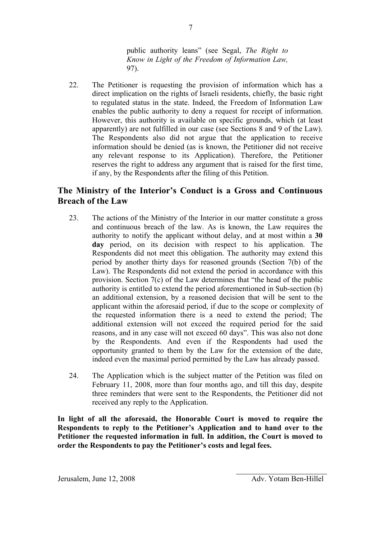public authority leans" (see Segal, *The Right to Know in Light of the Freedom of Information Law,*  97).

22. The Petitioner is requesting the provision of information which has a direct implication on the rights of Israeli residents, chiefly, the basic right to regulated status in the state. Indeed, the Freedom of Information Law enables the public authority to deny a request for receipt of information. However, this authority is available on specific grounds, which (at least apparently) are not fulfilled in our case (see Sections 8 and 9 of the Law). The Respondents also did not argue that the application to receive information should be denied (as is known, the Petitioner did not receive any relevant response to its Application). Therefore, the Petitioner reserves the right to address any argument that is raised for the first time, if any, by the Respondents after the filing of this Petition.

# **The Ministry of the Interior's Conduct is a Gross and Continuous Breach of the Law**

- 23. The actions of the Ministry of the Interior in our matter constitute a gross and continuous breach of the law. As is known, the Law requires the authority to notify the applicant without delay, and at most within a **30 day** period, on its decision with respect to his application. The Respondents did not meet this obligation. The authority may extend this period by another thirty days for reasoned grounds (Section 7(b) of the Law). The Respondents did not extend the period in accordance with this provision. Section 7(c) of the Law determines that "the head of the public authority is entitled to extend the period aforementioned in Sub-section (b) an additional extension, by a reasoned decision that will be sent to the applicant within the aforesaid period, if due to the scope or complexity of the requested information there is a need to extend the period; The additional extension will not exceed the required period for the said reasons, and in any case will not exceed 60 days". This was also not done by the Respondents. And even if the Respondents had used the opportunity granted to them by the Law for the extension of the date, indeed even the maximal period permitted by the Law has already passed.
- 24. The Application which is the subject matter of the Petition was filed on February 11, 2008, more than four months ago, and till this day, despite three reminders that were sent to the Respondents, the Petitioner did not received any reply to the Application.

**In light of all the aforesaid, the Honorable Court is moved to require the Respondents to reply to the Petitioner's Application and to hand over to the Petitioner the requested information in full. In addition, the Court is moved to order the Respondents to pay the Petitioner's costs and legal fees.**